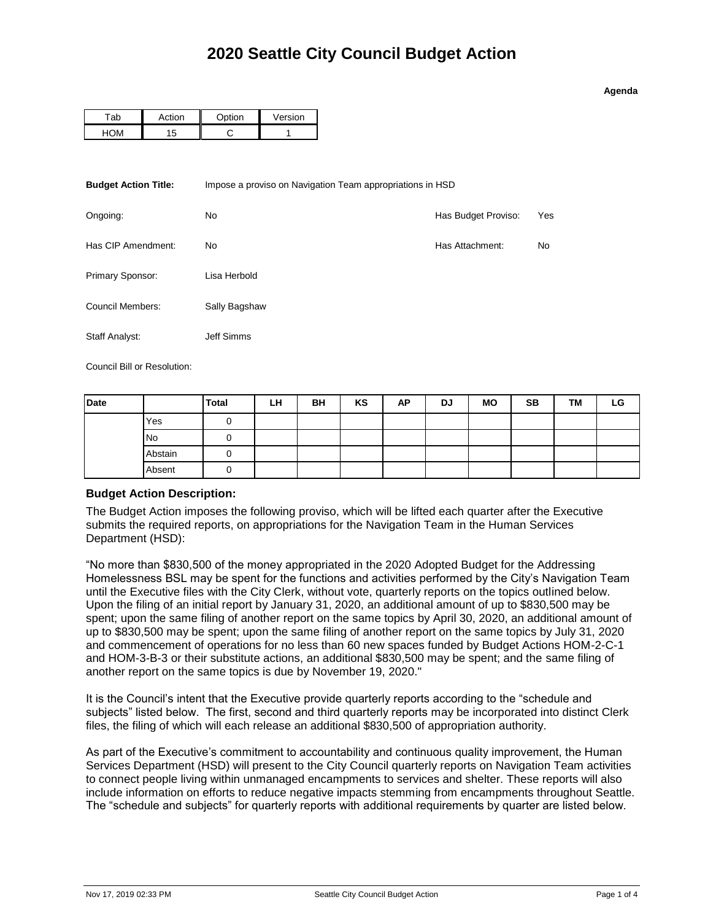## **Agenda**

| -ab | ∩ti∩n    | <u>ntion</u> | Version |
|-----|----------|--------------|---------|
|     | ŀ<br>۰., |              |         |

| <b>Budget Action Title:</b> | Impose a proviso on Navigation Team appropriations in HSD |                     |           |  |  |
|-----------------------------|-----------------------------------------------------------|---------------------|-----------|--|--|
| Ongoing:                    | No                                                        | Has Budget Proviso: | Yes       |  |  |
| Has CIP Amendment:          | No.                                                       | Has Attachment:     | <b>No</b> |  |  |
| Primary Sponsor:            | Lisa Herbold                                              |                     |           |  |  |
| Council Members:            | Sally Bagshaw                                             |                     |           |  |  |
| Staff Analyst:              | Jeff Simms                                                |                     |           |  |  |

Council Bill or Resolution:

| Date |           | Total | LН | <b>BH</b> | KS | <b>AP</b> | DJ | <b>MO</b> | <b>SB</b> | <b>TM</b> | LG |
|------|-----------|-------|----|-----------|----|-----------|----|-----------|-----------|-----------|----|
|      | Yes       |       |    |           |    |           |    |           |           |           |    |
|      | <b>No</b> |       |    |           |    |           |    |           |           |           |    |
|      | Abstain   |       |    |           |    |           |    |           |           |           |    |
|      | Absent    |       |    |           |    |           |    |           |           |           |    |

## **Budget Action Description:**

The Budget Action imposes the following proviso, which will be lifted each quarter after the Executive submits the required reports, on appropriations for the Navigation Team in the Human Services Department (HSD):

"No more than \$830,500 of the money appropriated in the 2020 Adopted Budget for the Addressing Homelessness BSL may be spent for the functions and activities performed by the City's Navigation Team until the Executive files with the City Clerk, without vote, quarterly reports on the topics outlined below. Upon the filing of an initial report by January 31, 2020, an additional amount of up to \$830,500 may be spent; upon the same filing of another report on the same topics by April 30, 2020, an additional amount of up to \$830,500 may be spent; upon the same filing of another report on the same topics by July 31, 2020 and commencement of operations for no less than 60 new spaces funded by Budget Actions HOM-2-C-1 and HOM-3-B-3 or their substitute actions, an additional \$830,500 may be spent; and the same filing of another report on the same topics is due by November 19, 2020."

It is the Council's intent that the Executive provide quarterly reports according to the "schedule and subjects" listed below. The first, second and third quarterly reports may be incorporated into distinct Clerk files, the filing of which will each release an additional \$830,500 of appropriation authority.

As part of the Executive's commitment to accountability and continuous quality improvement, the Human Services Department (HSD) will present to the City Council quarterly reports on Navigation Team activities to connect people living within unmanaged encampments to services and shelter. These reports will also include information on efforts to reduce negative impacts stemming from encampments throughout Seattle. The "schedule and subjects" for quarterly reports with additional requirements by quarter are listed below.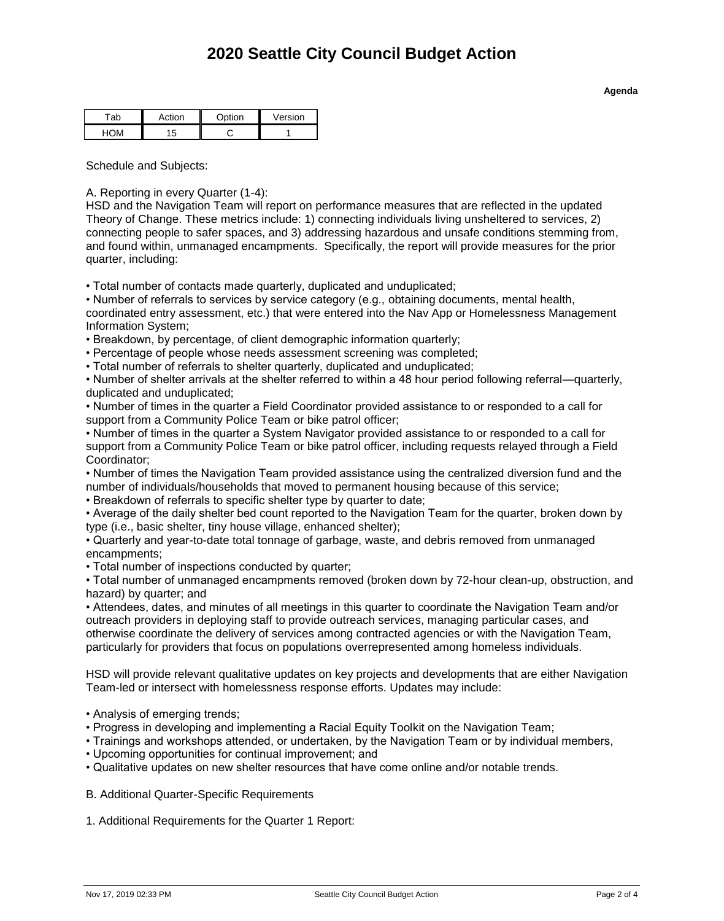| -ab | Action | <b>Ontion</b> | Version |
|-----|--------|---------------|---------|
|     | ŀ      |               |         |

Schedule and Subjects:

A. Reporting in every Quarter (1-4):

HSD and the Navigation Team will report on performance measures that are reflected in the updated Theory of Change. These metrics include: 1) connecting individuals living unsheltered to services, 2) connecting people to safer spaces, and 3) addressing hazardous and unsafe conditions stemming from, and found within, unmanaged encampments. Specifically, the report will provide measures for the prior quarter, including:

• Total number of contacts made quarterly, duplicated and unduplicated;

• Number of referrals to services by service category (e.g., obtaining documents, mental health, coordinated entry assessment, etc.) that were entered into the Nav App or Homelessness Management Information System;

• Breakdown, by percentage, of client demographic information quarterly;

• Percentage of people whose needs assessment screening was completed;

• Total number of referrals to shelter quarterly, duplicated and unduplicated;

• Number of shelter arrivals at the shelter referred to within a 48 hour period following referral—quarterly, duplicated and unduplicated;

• Number of times in the quarter a Field Coordinator provided assistance to or responded to a call for support from a Community Police Team or bike patrol officer;

• Number of times in the quarter a System Navigator provided assistance to or responded to a call for support from a Community Police Team or bike patrol officer, including requests relayed through a Field Coordinator;

• Number of times the Navigation Team provided assistance using the centralized diversion fund and the number of individuals/households that moved to permanent housing because of this service;

• Breakdown of referrals to specific shelter type by quarter to date;

• Average of the daily shelter bed count reported to the Navigation Team for the quarter, broken down by type (i.e., basic shelter, tiny house village, enhanced shelter);

• Quarterly and year-to-date total tonnage of garbage, waste, and debris removed from unmanaged encampments;

• Total number of inspections conducted by quarter;

• Total number of unmanaged encampments removed (broken down by 72-hour clean-up, obstruction, and hazard) by quarter; and

• Attendees, dates, and minutes of all meetings in this quarter to coordinate the Navigation Team and/or outreach providers in deploying staff to provide outreach services, managing particular cases, and otherwise coordinate the delivery of services among contracted agencies or with the Navigation Team, particularly for providers that focus on populations overrepresented among homeless individuals.

HSD will provide relevant qualitative updates on key projects and developments that are either Navigation Team-led or intersect with homelessness response efforts. Updates may include:

- Analysis of emerging trends;
- Progress in developing and implementing a Racial Equity Toolkit on the Navigation Team;
- Trainings and workshops attended, or undertaken, by the Navigation Team or by individual members,
- Upcoming opportunities for continual improvement; and
- Qualitative updates on new shelter resources that have come online and/or notable trends.

B. Additional Quarter-Specific Requirements

1. Additional Requirements for the Quarter 1 Report:

**Agenda**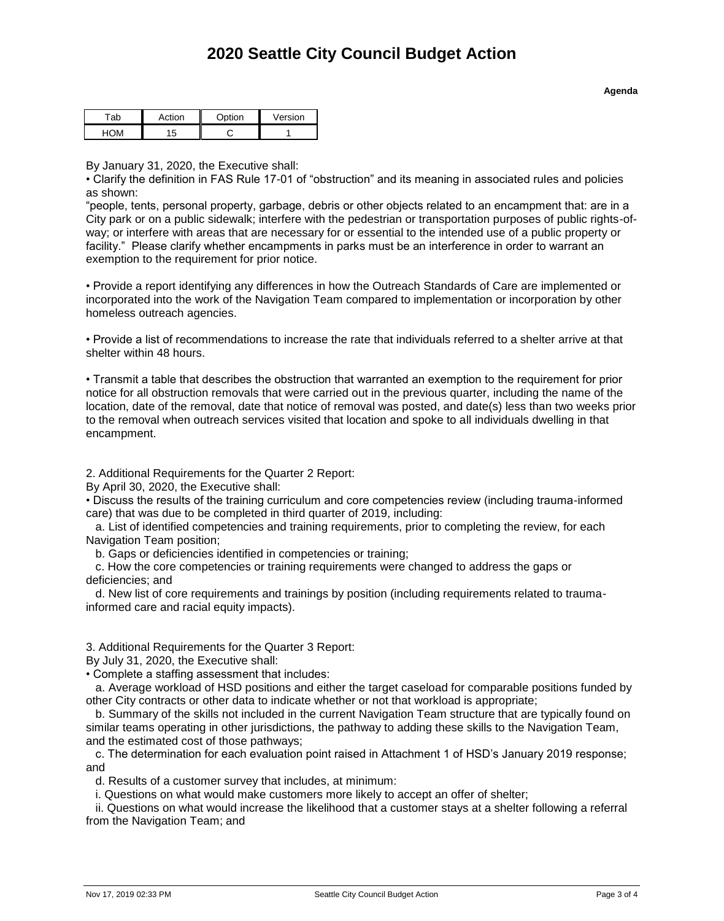| Action | <b>Ontion</b> | Version |
|--------|---------------|---------|
|        |               |         |

By January 31, 2020, the Executive shall:

• Clarify the definition in FAS Rule 17-01 of "obstruction" and its meaning in associated rules and policies as shown:

"people, tents, personal property, garbage, debris or other objects related to an encampment that: are in a City park or on a public sidewalk; interfere with the pedestrian or transportation purposes of public rights-ofway; or interfere with areas that are necessary for or essential to the intended use of a public property or facility." Please clarify whether encampments in parks must be an interference in order to warrant an exemption to the requirement for prior notice.

• Provide a report identifying any differences in how the Outreach Standards of Care are implemented or incorporated into the work of the Navigation Team compared to implementation or incorporation by other homeless outreach agencies.

• Provide a list of recommendations to increase the rate that individuals referred to a shelter arrive at that shelter within 48 hours.

• Transmit a table that describes the obstruction that warranted an exemption to the requirement for prior notice for all obstruction removals that were carried out in the previous quarter, including the name of the location, date of the removal, date that notice of removal was posted, and date(s) less than two weeks prior to the removal when outreach services visited that location and spoke to all individuals dwelling in that encampment.

2. Additional Requirements for the Quarter 2 Report:

By April 30, 2020, the Executive shall:

• Discuss the results of the training curriculum and core competencies review (including trauma-informed care) that was due to be completed in third quarter of 2019, including:

 a. List of identified competencies and training requirements, prior to completing the review, for each Navigation Team position;

b. Gaps or deficiencies identified in competencies or training;

 c. How the core competencies or training requirements were changed to address the gaps or deficiencies; and

 d. New list of core requirements and trainings by position (including requirements related to traumainformed care and racial equity impacts).

3. Additional Requirements for the Quarter 3 Report:

By July 31, 2020, the Executive shall:

• Complete a staffing assessment that includes:

 a. Average workload of HSD positions and either the target caseload for comparable positions funded by other City contracts or other data to indicate whether or not that workload is appropriate;

 b. Summary of the skills not included in the current Navigation Team structure that are typically found on similar teams operating in other jurisdictions, the pathway to adding these skills to the Navigation Team, and the estimated cost of those pathways;

 c. The determination for each evaluation point raised in Attachment 1 of HSD's January 2019 response; and

d. Results of a customer survey that includes, at minimum:

i. Questions on what would make customers more likely to accept an offer of shelter;

 ii. Questions on what would increase the likelihood that a customer stays at a shelter following a referral from the Navigation Team; and